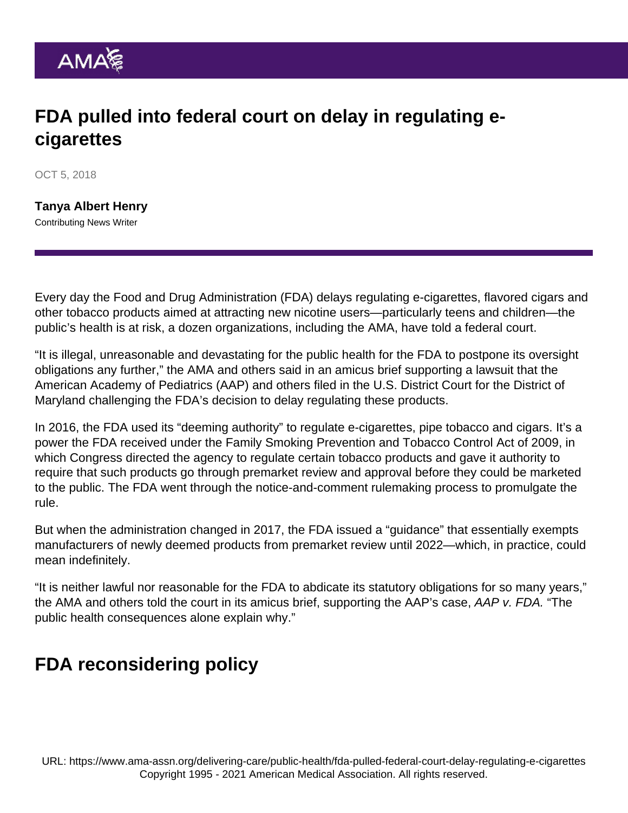## FDA pulled into federal court on delay in regulating ecigarettes

OCT 5, 2018

[Tanya Albert Henry](https://www.ama-assn.org/news-leadership-viewpoints/authors-news-leadership-viewpoints/tanya-albert-henry) Contributing News Writer

Every day the Food and Drug Administration (FDA) delays regulating e-cigarettes, flavored cigars and other tobacco products aimed at attracting new nicotine users—particularly teens and children—the public's health is at risk, a dozen organizations, including the AMA, have told a federal court.

"It is illegal, unreasonable and devastating for the public health for the FDA to postpone its oversight obligations any further," the AMA and others said in an [amicus brief](https://www.thoracic.org/advocacy/comments-testimony/aap-v-fda-amicus-brief-filed.pdf) supporting a lawsuit that the American Academy of Pediatrics (AAP) and others filed in the U.S. District Court for the District of Maryland challenging the FDA's decision to delay regulating these products.

In 2016, the FDA used its "deeming authority" to regulate e-cigarettes, pipe tobacco and cigars. It's a power the FDA received under the Family Smoking Prevention and Tobacco Control Act of 2009, in which Congress directed the agency to regulate certain tobacco products and gave it authority to require that such products go through premarket review and approval before they could be marketed to the public. The FDA went through the notice-and-comment rulemaking process to promulgate the rule.

But when the administration changed in 2017, the FDA issued a "guidance" that essentially exempts manufacturers of newly deemed products from premarket review until 2022—which, in practice, could mean indefinitely.

"It is neither lawful nor reasonable for the FDA to abdicate its statutory obligations for so many years," the AMA and others told the court in its amicus brief, supporting the AAP's case, AAP v. FDA. "The public health consequences alone explain why."

## FDA reconsidering policy